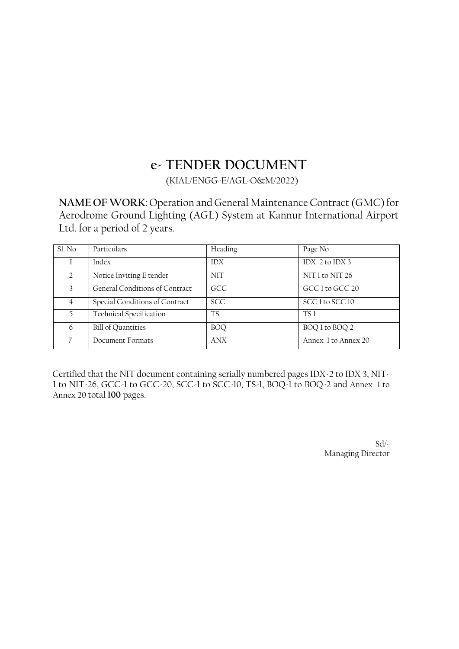# **e- TENDER DOCUMENT**

(KIAL/ENGG-E/AGL-O&M/2022)

**NAME OF WORK**: Operation and General Maintenance Contract (GMC) for Aerodrome Ground Lighting (AGL) System at Kannur International Airport Ltd. for a period of 2 years.

| Sl. No        | Particulars                    | Heading    | Page No             |
|---------------|--------------------------------|------------|---------------------|
|               | Index                          | <b>IDX</b> | IDX $2$ to IDX 3    |
| $\mathcal{D}$ | Notice Inviting E tender       | <b>NIT</b> | NIT 1 to NIT 26     |
| 3             | General Conditions of Contract | GCC        | GCC 1 to GCC 20     |
| 4             | Special Conditions of Contract | <b>SCC</b> | SCC 1 to SCC 10     |
| 5.            | <b>Technical Specification</b> | <b>TS</b>  | TS <sub>1</sub>     |
| 6             | <b>Bill of Quantities</b>      | <b>BOQ</b> | BOQ 1 to BOQ 2      |
|               | Document Formats               | <b>ANX</b> | Annex 1 to Annex 20 |

Certified that the NIT document containing serially numbered pages IDX-2 to IDX 3, NIT-1 to NIT-26, GCC-1 to GCC-20, SCC-1 to SCC-10, TS-1, BOQ-1 to BOQ-2 and Annex 1 to Annex 20 total **100** pages.

> Sd/- Managing Director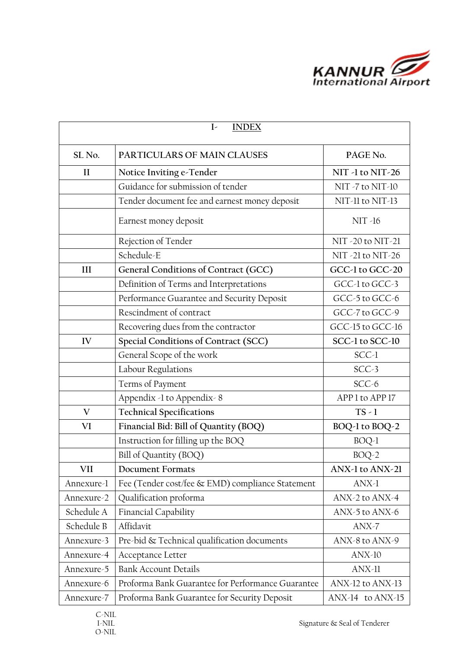

|                                            | <b>INDEX</b><br>$\mathbf{I}$                      |                      |  |  |  |  |
|--------------------------------------------|---------------------------------------------------|----------------------|--|--|--|--|
| SL <sub>No.</sub>                          | PARTICULARS OF MAIN CLAUSES                       | PAGE No.             |  |  |  |  |
| $\mathbf{I}$                               | Notice Inviting e-Tender                          | NIT -1 to NIT-26     |  |  |  |  |
|                                            | Guidance for submission of tender                 | NIT -7 to NIT-10     |  |  |  |  |
|                                            | Tender document fee and earnest money deposit     | NIT-11 to NIT-13     |  |  |  |  |
| Earnest money deposit<br><b>NIT -16</b>    |                                                   |                      |  |  |  |  |
|                                            | Rejection of Tender                               | NIT -20 to NIT-21    |  |  |  |  |
|                                            | Schedule-E                                        | NIT -21 to NIT-26    |  |  |  |  |
| III                                        | General Conditions of Contract (GCC)              | GCC-1 to GCC-20      |  |  |  |  |
|                                            | Definition of Terms and Interpretations           | GCC-1 to GCC-3       |  |  |  |  |
|                                            | Performance Guarantee and Security Deposit        | GCC-5 to GCC-6       |  |  |  |  |
|                                            | Rescindment of contract                           | GCC-7 to GCC-9       |  |  |  |  |
|                                            | Recovering dues from the contractor               | GCC-15 to GCC-16     |  |  |  |  |
| Special Conditions of Contract (SCC)<br>IV |                                                   | SCC-1 to SCC-10      |  |  |  |  |
|                                            | General Scope of the work                         | SCC-1                |  |  |  |  |
|                                            | Labour Regulations                                | $SCC-3$              |  |  |  |  |
|                                            | Terms of Payment                                  | SCC-6                |  |  |  |  |
|                                            | Appendix -1 to Appendix - 8                       | APP 1 to APP 17      |  |  |  |  |
| V                                          | <b>Technical Specifications</b>                   | $TS - 1$             |  |  |  |  |
| VI                                         | Financial Bid: Bill of Quantity (BOQ)             | BOQ-1 to BOQ-2       |  |  |  |  |
|                                            | Instruction for filling up the BOQ                | $BOQ-1$              |  |  |  |  |
|                                            | Bill of Quantity (BOQ)                            | $BOQ-2$              |  |  |  |  |
| VII                                        | <b>Document Formats</b>                           | ANX-1 to ANX-21      |  |  |  |  |
| Annexure-1                                 | Fee (Tender cost/fee & EMD) compliance Statement  | $ANX-1$              |  |  |  |  |
| Annexure-2                                 | Qualification proforma                            | ANX-2 to ANX-4       |  |  |  |  |
| Schedule A                                 | Financial Capability                              | ANX-5 to ANX-6       |  |  |  |  |
| Schedule B                                 | Affidavit                                         | $ANX-7$              |  |  |  |  |
| Annexure-3                                 | Pre-bid & Technical qualification documents       | ANX-8 to ANX-9       |  |  |  |  |
| Annexure-4                                 | Acceptance Letter                                 | $ANX-10$             |  |  |  |  |
| Annexure-5                                 | <b>Bank Account Details</b>                       | $ANX-11$             |  |  |  |  |
| Annexure-6                                 | Proforma Bank Guarantee for Performance Guarantee | ANX-12 to ANX-13     |  |  |  |  |
| Annexure-7                                 | Proforma Bank Guarantee for Security Deposit      | $ANX-14$ to $ANX-15$ |  |  |  |  |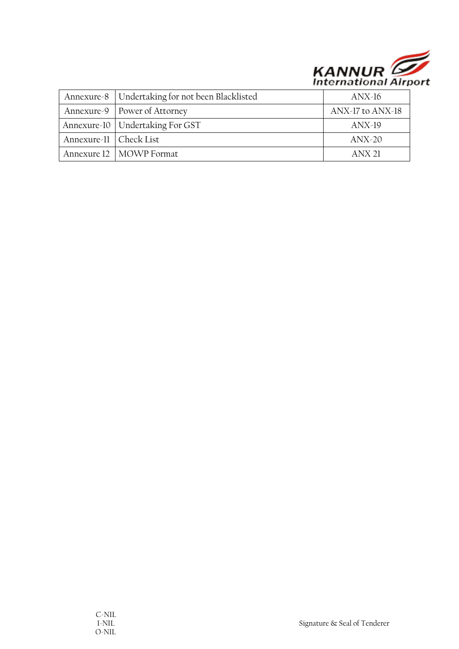

|                          | Annexure-8   Undertaking for not been Blacklisted | $ANX-16$         |
|--------------------------|---------------------------------------------------|------------------|
|                          | Annexure-9   Power of Attorney                    | ANX-17 to ANX-18 |
|                          | Annexure-10   Undertaking For GST                 | $ANX-19$         |
| Annexure-11   Check List |                                                   | $ANX-20$         |
|                          | Annexure 12   MOWP Format                         | $ANX$ 21         |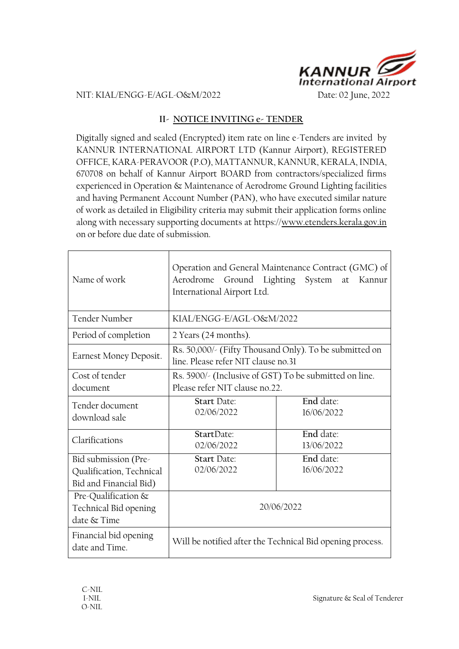

#### NIT: KIAL/ENGG-E/AGL-O&M/2022 Date: 02 June, 2022

#### **II- NOTICE INVITING e- TENDER**

Digitally signed and sealed (Encrypted) item rate on line e-Tenders are invited by KANNUR INTERNATIONAL AIRPORT LTD (Kannur Airport), REGISTERED OFFICE, KARA-PERAVOOR (P.O), MATTANNUR, KANNUR, KERALA, INDIA, 670708 on behalf of Kannur Airport BOARD from contractors/specialized firms experienced in Operation & Maintenance of Aerodrome Ground Lighting facilities and having Permanent Account Number (PAN), who have executed similar nature of work as detailed in Eligibility criteria may submit their application forms online along with necessary supporting documents at https://www.etenders.kerala.gov.in on or before due date of submission.

| Name of work                                                               | Operation and General Maintenance Contract (GMC) of<br>Aerodrome Ground Lighting System at Kannur<br>International Airport Ltd. |                         |  |
|----------------------------------------------------------------------------|---------------------------------------------------------------------------------------------------------------------------------|-------------------------|--|
| Tender Number                                                              | KIAL/ENGG-E/AGL-O&M/2022                                                                                                        |                         |  |
| Period of completion                                                       | 2 Years (24 months).                                                                                                            |                         |  |
| Earnest Money Deposit.                                                     | Rs. 50,000/- (Fifty Thousand Only). To be submitted on<br>line. Please refer NIT clause no.31                                   |                         |  |
| Cost of tender<br>document                                                 | Rs. 5900/- (Inclusive of GST) To be submitted on line.<br>Please refer NIT clause no.22.                                        |                         |  |
| Tender document<br>download sale                                           | <b>Start Date:</b><br>02/06/2022                                                                                                | End date:<br>16/06/2022 |  |
| Clarifications                                                             | StartDate:<br>02/06/2022                                                                                                        | End date:<br>13/06/2022 |  |
| Bid submission (Pre-<br>Qualification, Technical<br>Bid and Financial Bid) | <b>Start Date:</b><br>02/06/2022                                                                                                | End date:<br>16/06/2022 |  |
| Pre-Qualification &<br>Technical Bid opening<br>date & Time                | 20/06/2022                                                                                                                      |                         |  |
| Financial bid opening<br>date and Time.                                    | Will be notified after the Technical Bid opening process.                                                                       |                         |  |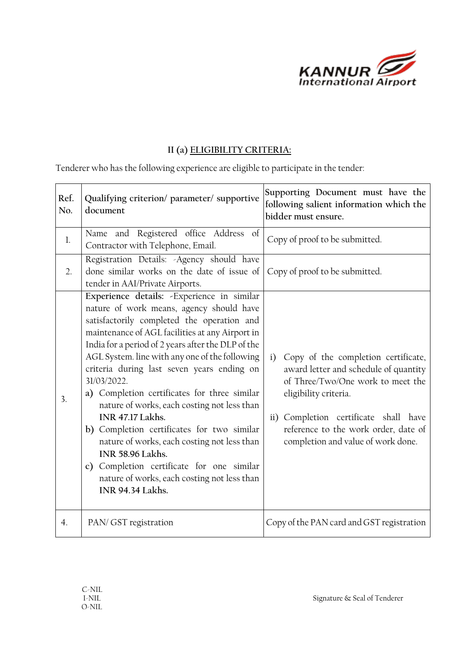

## **II (a) ELIGIBILITY CRITERIA:**

Tenderer who has the following experience are eligible to participate in the tender:

| Ref.<br>No.      | Qualifying criterion/ parameter/ supportive<br>document                                                                                                                                                                                                                                                                                                                                                                                                                                                                                                                                                                                                                                                                         | Supporting Document must have the<br>following salient information which the<br>bidder must ensure.                                                                                                                                                                     |
|------------------|---------------------------------------------------------------------------------------------------------------------------------------------------------------------------------------------------------------------------------------------------------------------------------------------------------------------------------------------------------------------------------------------------------------------------------------------------------------------------------------------------------------------------------------------------------------------------------------------------------------------------------------------------------------------------------------------------------------------------------|-------------------------------------------------------------------------------------------------------------------------------------------------------------------------------------------------------------------------------------------------------------------------|
| $\mathbf{l}$ .   | Name and Registered office Address of<br>Contractor with Telephone, Email.                                                                                                                                                                                                                                                                                                                                                                                                                                                                                                                                                                                                                                                      | Copy of proof to be submitted.                                                                                                                                                                                                                                          |
| 2.               | Registration Details: - Agency should have<br>done similar works on the date of issue of<br>tender in AAI/Private Airports.                                                                                                                                                                                                                                                                                                                                                                                                                                                                                                                                                                                                     | Copy of proof to be submitted.                                                                                                                                                                                                                                          |
| 3.               | Experience details: - Experience in similar<br>nature of work means, agency should have<br>satisfactorily completed the operation and<br>maintenance of AGL facilities at any Airport in<br>India for a period of 2 years after the DLP of the<br>AGL System. line with any one of the following<br>criteria during last seven years ending on<br>31/03/2022.<br>a) Completion certificates for three similar<br>nature of works, each costing not less than<br>INR 47.17 Lakhs.<br>b) Completion certificates for two similar<br>nature of works, each costing not less than<br><b>INR 58.96 Lakhs.</b><br>c) Completion certificate for one similar<br>nature of works, each costing not less than<br><b>INR 94.34 Lakhs.</b> | Copy of the completion certificate,<br>i)<br>award letter and schedule of quantity<br>of Three/Two/One work to meet the<br>eligibility criteria.<br>ii) Completion certificate shall have<br>reference to the work order, date of<br>completion and value of work done. |
| $\overline{4}$ . | PAN/ GST registration                                                                                                                                                                                                                                                                                                                                                                                                                                                                                                                                                                                                                                                                                                           | Copy of the PAN card and GST registration                                                                                                                                                                                                                               |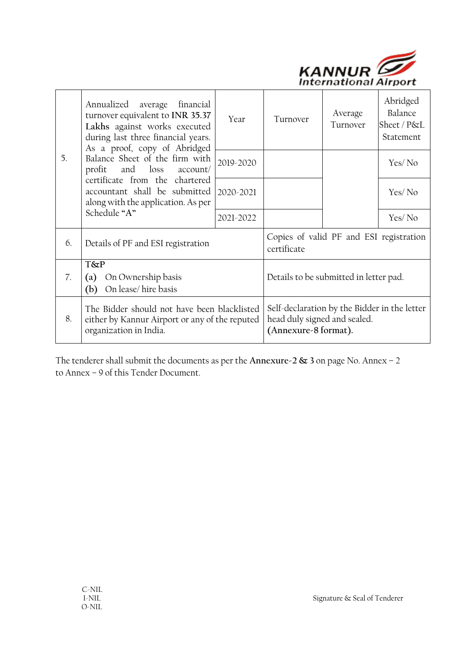

|    | Annualized average financial<br>turnover equivalent to INR 35.37<br>Lakhs against works executed<br>during last three financial years.<br>As a proof, copy of Abridged | Year                                                                                                 | Turnover                               | Average<br>Turnover | Abridged<br>Balance<br>Sheet / P&L<br>Statement |
|----|------------------------------------------------------------------------------------------------------------------------------------------------------------------------|------------------------------------------------------------------------------------------------------|----------------------------------------|---------------------|-------------------------------------------------|
| 5. | Balance Sheet of the firm with<br>and loss<br>profit<br>account/                                                                                                       | 2019-2020                                                                                            |                                        |                     | Yes/No                                          |
|    | certificate from the chartered<br>accountant shall be submitted<br>along with the application. As per                                                                  | 2020-2021                                                                                            |                                        |                     | Yes/No                                          |
|    | Schedule "A"                                                                                                                                                           | 2021-2022                                                                                            |                                        |                     | Yes/No                                          |
| 6. | Details of PF and ESI registration                                                                                                                                     | Copies of valid PF and ESI registration<br>certificate                                               |                                        |                     |                                                 |
| 7. | <b>T&amp;P</b><br>On Ownership basis<br>$\left( a\right)$<br>On lease/hire basis<br>(b)                                                                                |                                                                                                      | Details to be submitted in letter pad. |                     |                                                 |
| 8. | The Bidder should not have been blacklisted<br>either by Kannur Airport or any of the reputed<br>organization in India.                                                | Self-declaration by the Bidder in the letter<br>head duly signed and sealed.<br>(Annexure-8 format). |                                        |                     |                                                 |

The tenderer shall submit the documents as per the **Annexure-2 & 3** on page No. Annex – 2 to Annex – 9 of this Tender Document.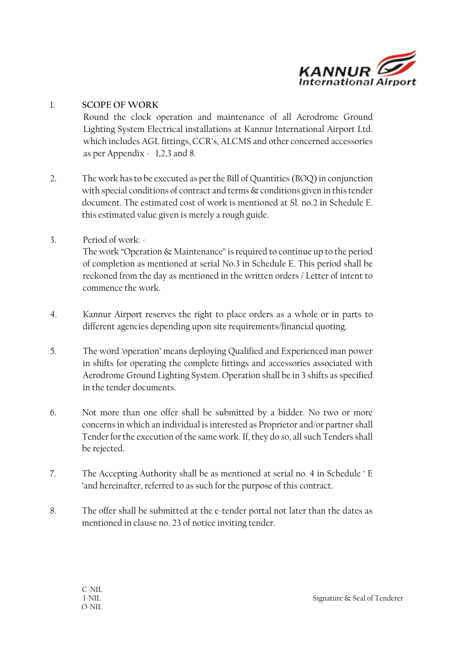

#### 1. **SCOPE OF WORK**

Round the clock operation and maintenance of all Aerodrome Ground Lighting System Electrical installations at Kannur International Airport Ltd. which includes AGL fittings, CCR's, ALCMS and other concerned accessories as per Appendix - 1,2,3 and 8.

- 2. The work has to be executed as per the Bill of Quantities (BOQ) in conjunction with special conditions of contract and terms & conditions given in this tender document. The estimated cost of work is mentioned at Sl. no.2 in Schedule E. this estimated value given is merely a rough guide.
- 3. Period of work: -

The work "Operation & Maintenance" is required to continue up to the period of completion as mentioned at serial No.3 in Schedule E. This period shall be reckoned from the day as mentioned in the written orders / Letter of intent to commence the work.

- 4. Kannur Airport reserves the right to place orders as a whole or in parts to different agencies depending upon site requirements/financial quoting.
- 5. The word 'operation' means deploying Qualified and Experienced man power in shifts for operating the complete fittings and accessories associated with Aerodrome Ground Lighting System. Operation shall be in 3 shifts as specified in the tender documents.
- 6. Not more than one offer shall be submitted by a bidder. No two or more concerns in which an individual is interested as Proprietor and/or partner shall Tender for the execution of the same work. If, they do so, all such Tenders shall be rejected.
- 7. The Accepting Authority shall be as mentioned at serial no. 4 in Schedule ' E 'and hereinafter, referred to as such for the purpose of this contract.
- 8. The offer shall be submitted at the e-tender portal not later than the dates as mentioned in clause no. 23 of notice inviting tender.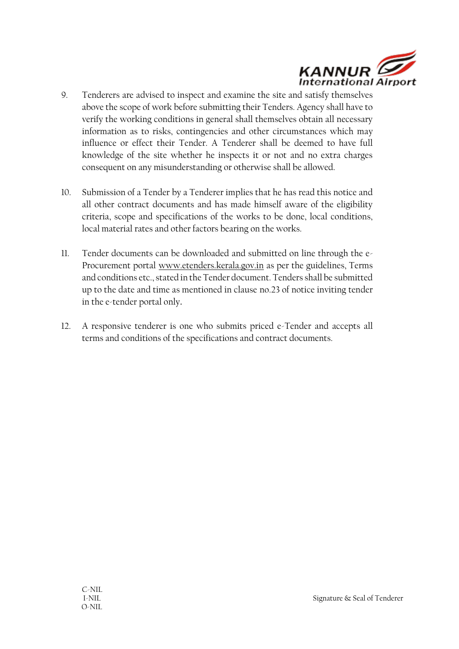

- 9. Tenderers are advised to inspect and examine the site and satisfy themselves above the scope of work before submitting their Tenders. Agency shall have to verify the working conditions in general shall themselves obtain all necessary information as to risks, contingencies and other circumstances which may influence or effect their Tender. A Tenderer shall be deemed to have full knowledge of the site whether he inspects it or not and no extra charges consequent on any misunderstanding or otherwise shall be allowed.
- 10. Submission of a Tender by a Tenderer implies that he has read this notice and all other contract documents and has made himself aware of the eligibility criteria, scope and specifications of the works to be done, local conditions, local material rates and other factors bearing on the works.
- 11. Tender documents can be downloaded and submitted on line through the e-Procurement portal [www.etenders.kerala.gov.in](http://www.etenders.kerala.gov.in/) as per the guidelines, Terms and conditions etc., stated in the Tender document. Tenders shall be submitted up to the date and time as mentioned in clause no.23 of notice inviting tender in the e-tender portal only**.**
- 12. A responsive tenderer is one who submits priced e-Tender and accepts all terms and conditions of the specifications and contract documents.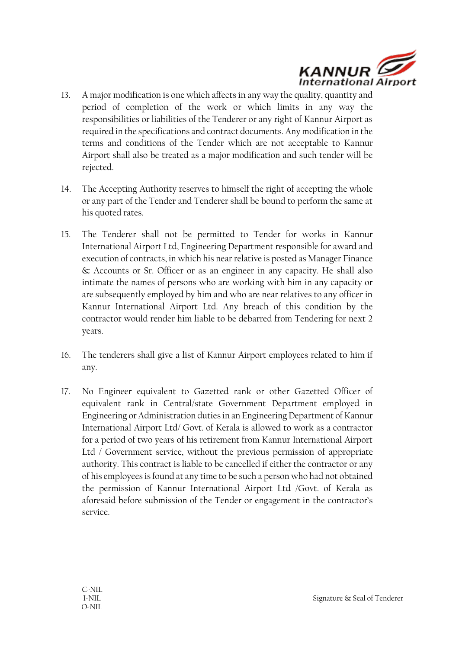

- 13. A major modification is one which affects in any way the quality, quantity and period of completion of the work or which limits in any way the responsibilities or liabilities of the Tenderer or any right of Kannur Airport as required in the specifications and contract documents. Any modification in the terms and conditions of the Tender which are not acceptable to Kannur Airport shall also be treated as a major modification and such tender will be rejected.
- 14. The Accepting Authority reserves to himself the right of accepting the whole or any part of the Tender and Tenderer shall be bound to perform the same at his quoted rates.
- 15. The Tenderer shall not be permitted to Tender for works in Kannur International Airport Ltd, Engineering Department responsible for award and execution of contracts, in which his near relative is posted as Manager Finance & Accounts or Sr. Officer or as an engineer in any capacity. He shall also intimate the names of persons who are working with him in any capacity or are subsequently employed by him and who are near relatives to any officer in Kannur International Airport Ltd. Any breach of this condition by the contractor would render him liable to be debarred from Tendering for next 2 years.
- 16. The tenderers shall give a list of Kannur Airport employees related to him if any.
- 17. No Engineer equivalent to Gazetted rank or other Gazetted Officer of equivalent rank in Central/state Government Department employed in Engineering or Administration duties in an Engineering Department of Kannur International Airport Ltd/ Govt. of Kerala is allowed to work as a contractor for a period of two years of his retirement from Kannur International Airport Ltd / Government service, without the previous permission of appropriate authority. This contract is liable to be cancelled if either the contractor or any of his employees is found at any time to be such a person who had not obtained the permission of Kannur International Airport Ltd /Govt. of Kerala as aforesaid before submission of the Tender or engagement in the contractor's service.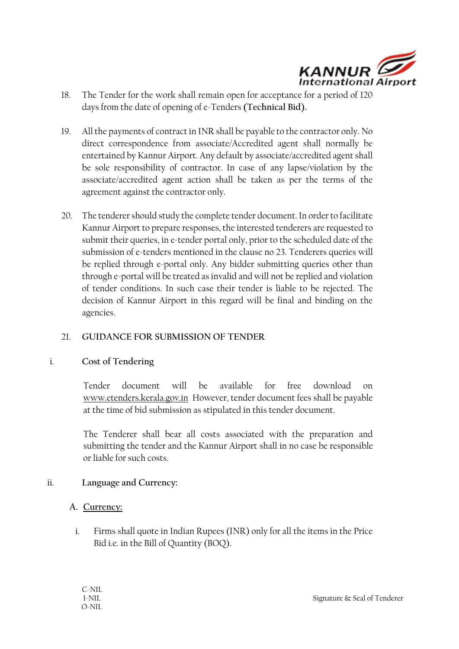

- 18. The Tender for the work shall remain open for acceptance for a period of 120 days from the date of opening of e-Tenders **(Technical Bid).**
- 19. All the payments of contract in INR shall be payable to the contractor only. No direct correspondence from associate/Accredited agent shall normally be entertained by Kannur Airport. Any default by associate/accredited agent shall be sole responsibility of contractor. In case of any lapse/violation by the associate/accredited agent action shall be taken as per the terms of the agreement against the contractor only.
- 20. The tenderer should study the complete tender document. In order to facilitate Kannur Airport to prepare responses, the interested tenderers are requested to submit their queries, in e-tender portal only, prior to the scheduled date of the submission of e-tenders mentioned in the clause no 23. Tenderers queries will be replied through e-portal only. Any bidder submitting queries other than through e-portal will be treated as invalid and will not be replied and violation of tender conditions. In such case their tender is liable to be rejected. The decision of Kannur Airport in this regard will be final and binding on the agencies.

#### 21. **GUIDANCE FOR SUBMISSION OF TENDER**

#### i. **Cost of Tendering**

Tender document will be available for free download on [www.etenders.kerala.gov.in](http://www.etenders.kerala.gov.in/) However, tender document fees shall be payable at the time of bid submission as stipulated in this tender document.

The Tenderer shall bear all costs associated with the preparation and submitting the tender and the Kannur Airport shall in no case be responsible or liable for such costs.

## ii. **Language and Currency:**

#### **A. Currency:**

i. Firms shall quote in Indian Rupees (INR) only for all the items in the Price Bid i.e. in the Bill of Quantity (BOQ).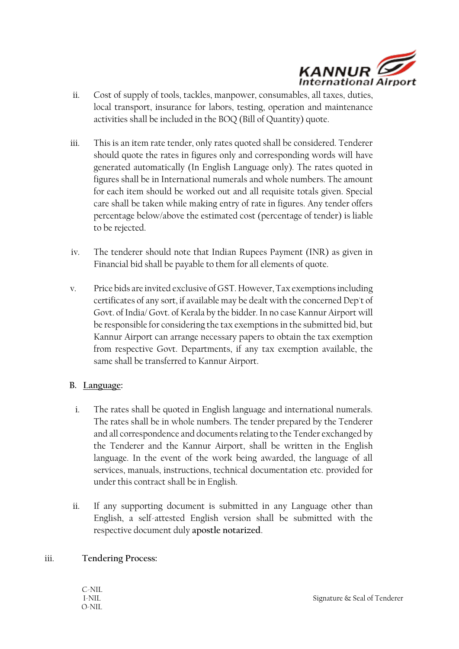

- ii. Cost of supply of tools, tackles, manpower, consumables, all taxes, duties, local transport, insurance for labors, testing, operation and maintenance activities shall be included in the BOQ (Bill of Quantity) quote.
- iii. This is an item rate tender, only rates quoted shall be considered. Tenderer should quote the rates in figures only and corresponding words will have generated automatically (In English Language only). The rates quoted in figures shall be in International numerals and whole numbers. The amount for each item should be worked out and all requisite totals given. Special care shall be taken while making entry of rate in figures. Any tender offers percentage below/above the estimated cost (percentage of tender) is liable to be rejected.
- iv. The tenderer should note that Indian Rupees Payment (INR) as given in Financial bid shall be payable to them for all elements of quote.
- v. Price bids are invited exclusive of GST. However, Tax exemptions including certificates of any sort, if available may be dealt with the concerned Dep't of Govt. of India/ Govt. of Kerala by the bidder. In no case Kannur Airport will be responsible for considering the tax exemptions in the submitted bid, but Kannur Airport can arrange necessary papers to obtain the tax exemption from respective Govt. Departments, if any tax exemption available, the same shall be transferred to Kannur Airport.

#### **B. Language:**

- i. The rates shall be quoted in English language and international numerals. The rates shall be in whole numbers. The tender prepared by the Tenderer and all correspondence and documents relating to the Tender exchanged by the Tenderer and the Kannur Airport, shall be written in the English language. In the event of the work being awarded, the language of all services, manuals, instructions, technical documentation etc. provided for under this contract shall be in English.
- ii. If any supporting document is submitted in any Language other than English, a self-attested English version shall be submitted with the respective document duly **apostle notarized**.

#### iii. **Tendering Process:**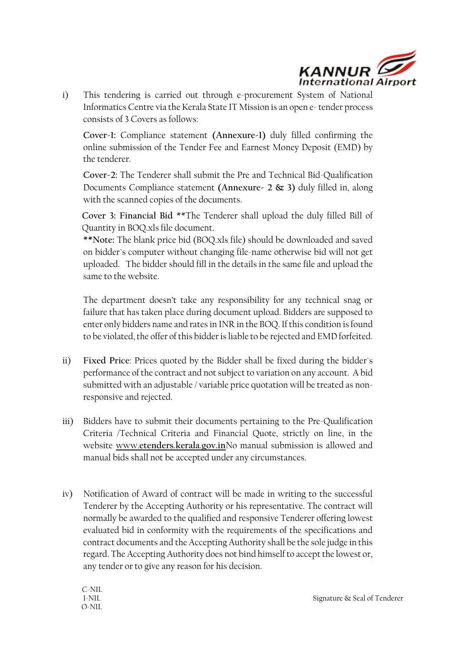

i) This tendering is carried out through e-procurement System of National Informatics Centre via the Kerala State IT Mission is an open e- tender process consists of 3 Covers as follows:

**Cover-1:** Compliance statement **(Annexure-1)** duly filled confirming the online submission of the Tender Fee and Earnest Money Deposit (EMD) by the tenderer.

**Cover-2:** The Tenderer shall submit the Pre and Technical Bid-Qualification Documents Compliance statement **(Annexure- 2 & 3)** duly filled in, along with the scanned copies of the documents.

**Cover 3: Financial Bid** \*\*The Tenderer shall upload the duly filled Bill of Quantity in BOQ.xls file document.

**\*\*Note:** The blank price bid (BOQ.xls file) should be downloaded and saved on bidder`s computer without changing file-name otherwise bid will not get uploaded. The bidder should fill in the details in the same file and upload the same to the website.

The department doesn't take any responsibility for any technical snag or failure that has taken place during document upload. Bidders are supposed to enter only bidders name and rates in INR in the BOQ. If this condition is found to be violated, the offer of this bidder is liable to be rejected and EMD forfeited.

- ii) **Fixed Price**: Prices quoted by the Bidder shall be fixed during the bidder`s performance of the contract and not subject to variation on any account. A bid submitted with an adjustable / variable price quotation will be treated as nonresponsive and rejected.
- iii) Bidders have to submit their documents pertaining to the Pre-Qualification Criteria /Technical Criteria and Financial Quote, strictly on line, in the website www.**[etenders](http://www.etenders.kerala.gov.in/)**.**kerala**.**[gov.in](http://www.etenders.kerala.gov.in/)**No manual submission is allowed and manual bids shall not be accepted under any circumstances.
- iv) Notification of Award of contract will be made in writing to the successful Tenderer by the Accepting Authority or his representative. The contract will normally be awarded to the qualified and responsive Tenderer offering lowest evaluated bid in conformity with the requirements of the specifications and contract documents and the Accepting Authority shall be the sole judge in this regard. The Accepting Authority does not bind himself to accept the lowest or, any tender or to give any reason for his decision.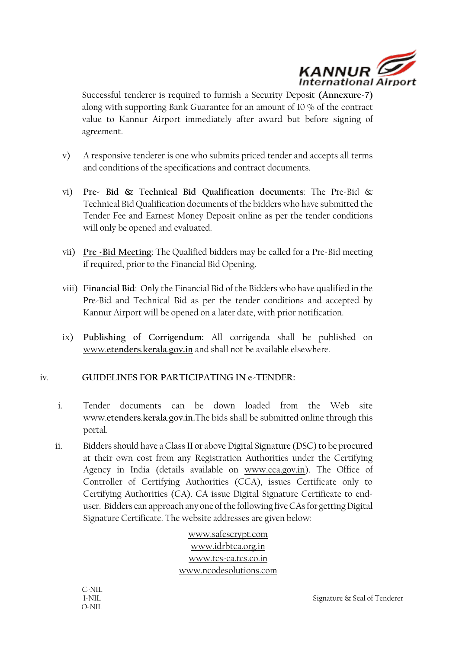

Successful tenderer is required to furnish a Security Deposit **(Annexure-7)** along with supporting Bank Guarantee for an amount of 10 % of the contract value to Kannur Airport immediately after award but before signing of agreement.

- v) A responsive tenderer is one who submits priced tender and accepts all terms and conditions of the specifications and contract documents.
- vi) **Pre- Bid & Technical Bid Qualification documents**: The Pre-Bid & Technical Bid Qualification documents of the bidders who have submitted the Tender Fee and Earnest Money Deposit online as per the tender conditions will only be opened and evaluated.
- vii) **Pre -Bid Meeting**: The Qualified bidders may be called for a Pre-Bid meeting if required, prior to the Financial Bid Opening.
- viii) **Financial Bid**: Only the Financial Bid of the Bidders who have qualified in the Pre-Bid and Technical Bid as per the tender conditions and accepted by Kannur Airport will be opened on a later date, with prior notification.
- ix) **Publishing of Corrigendum:** All corrigenda shall be published on www.**[etenders](http://www.etenders.kerala.gov.in/)**.**kerala**.**[gov.in](http://www.etenders.kerala.gov.in/)** and shall not be available elsewhere.

## iv. **GUIDELINES FOR PARTICIPATING IN e-TENDER:**

- i. Tender documents can be down loaded from the Web site www.**[etenders](http://www.etenders.kerala.gov.in/)**.**kerala**.**[gov.in.](http://www.etenders.kerala.gov.in/)**The bids shall be submitted online through this portal.
- ii. Bidders should have a Class II or above Digital Signature (DSC) to be procured at their own cost from any Registration Authorities under the Certifying Agency in India (details available on [www.cca.gov.in\)](http://www.cca.gov.in/). The Office of Controller of Certifying Authorities (CCA), issues Certificate only to Certifying Authorities (CA). CA issue Digital Signature Certificate to enduser. Bidders can approach any one of the following five CAs for getting Digital Signature Certificate. The website addresses are given below:

[www.safescrypt.com](http://www.safescrypt.com/) [www.idrbtca.org.in](http://www.idrbtca.org.in/) [www.tcs-ca.tcs.co.in](http://www.tcs-ca.tcs.co.in/) [www.ncodesolutions.com](http://www.ncodesolutions.com/)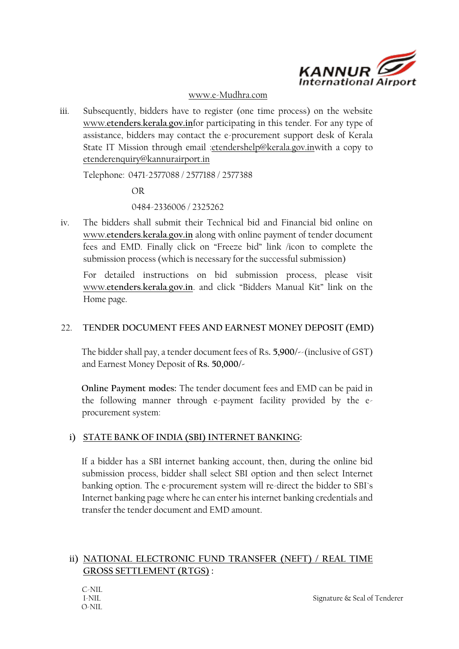

#### [www.e-Mudhra.com](http://www.e-mudhra.com/)

iii. Subsequently, bidders have to register (one time process) on the website www.**[etenders](http://www.etenders.kerala.gov.in/)**.**kerala**.**[gov.in](http://www.etenders.kerala.gov.in/)**for participating in this tender. For any type of assistance, bidders may contact the e-procurement support desk of Kerala State IT Mission through email [:etendershelp@kerala.gov.inw](mailto:etendershelp@kerala.gov.in)ith a copy to etenderenquiry@kannurairport.in

Telephone: 0471-2577088 / 2577188 / 2577388

OR

0484-2336006 / 2325262

iv. The bidders shall submit their Technical bid and Financial bid online on www.**[etenders](http://www.etenders.kerala.gov.in/)**.**kerala**.**[gov.in](http://www.etenders.kerala.gov.in/)** along with online payment of tender document fees and EMD. Finally click on "Freeze bid" link /icon to complete the submission process (which is necessary for the successful submission)

For detailed instructions on bid submission process, please visit www.**[etenders](http://www.etenders.kerala.gov.in/)**.**kerala**.**[gov.in](http://www.etenders.kerala.gov.in/)**. and click "Bidders Manual Kit" link on the Home page.

#### 22. **TENDER DOCUMENT FEES AND EARNEST MONEY DEPOSIT (EMD)**

The bidder shall pay, a tender document fees of Rs**. 5,900/-**-(inclusive of GST) and Earnest Money Deposit of **Rs. 50,000/-**

**Online Payment modes:** The tender document fees and EMD can be paid in the following manner through e-payment facility provided by the eprocurement system:

## **i) STATE BANK OF INDIA (SBI) INTERNET BANKING:**

If a bidder has a SBI internet banking account, then, during the online bid submission process, bidder shall select SBI option and then select Internet banking option. The e-procurement system will re-direct the bidder to SBI`s Internet banking page where he can enter his internet banking credentials and transfer the tender document and EMD amount.

## **ii) NATIONAL ELECTRONIC FUND TRANSFER (NEFT) / REAL TIME GROSS SETTLEMENT (RTGS) :**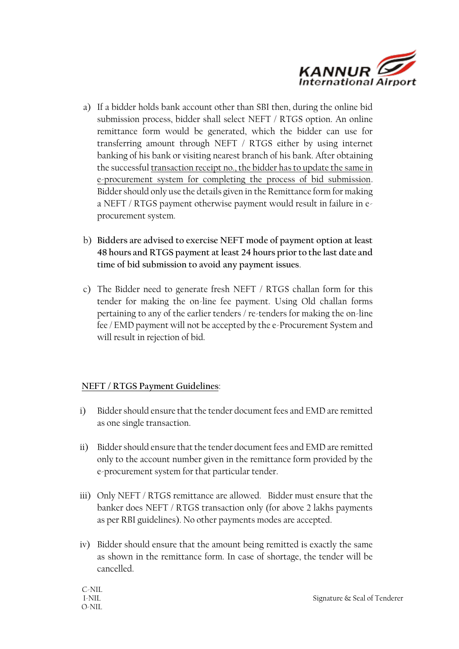

- a) If a bidder holds bank account other than SBI then, during the online bid submission process, bidder shall select NEFT / RTGS option. An online remittance form would be generated, which the bidder can use for transferring amount through NEFT / RTGS either by using internet banking of his bank or visiting nearest branch of his bank. After obtaining the successful transaction receipt no., the bidder has to update the same in e-procurement system for completing the process of bid submission. Bidder should only use the details given in the Remittance form for making a NEFT / RTGS payment otherwise payment would result in failure in eprocurement system.
- b) **Bidders are advised to exercise NEFT mode of payment option at least 48 hours and RTGS payment atleast 24 hours priorto the last date and time of bid submission to avoid any payment issues**.
- c) The Bidder need to generate fresh NEFT / RTGS challan form for this tender for making the on-line fee payment. Using Old challan forms pertaining to any of the earlier tenders / re-tenders for making the on-line fee / EMD payment will not be accepted by the e-Procurement System and will result in rejection of bid.

## **NEFT / RTGS Payment Guidelines**:

- i) Bidder should ensure that the tender document fees and EMD are remitted as one single transaction.
- ii) Bidder should ensure that the tender document fees and EMD are remitted only to the account number given in the remittance form provided by the e-procurement system for that particular tender.
- iii) Only NEFT / RTGS remittance are allowed. Bidder must ensure that the banker does NEFT / RTGS transaction only (for above 2 lakhs payments as per RBI guidelines). No other payments modes are accepted.
- iv) Bidder should ensure that the amount being remitted is exactly the same as shown in the remittance form. In case of shortage, the tender will be cancelled.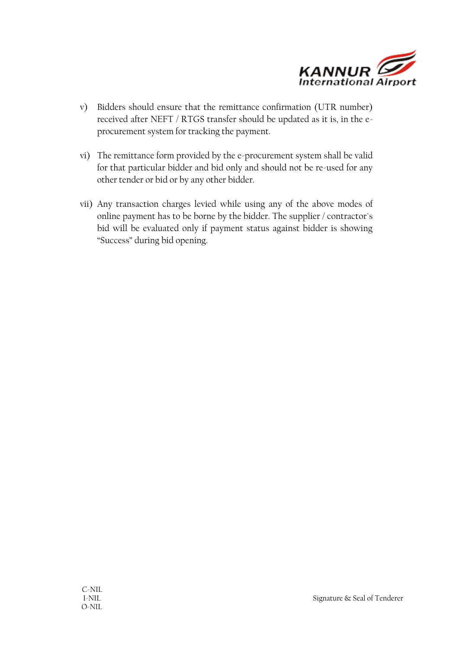

- v) Bidders should ensure that the remittance confirmation (UTR number) received after NEFT / RTGS transfer should be updated as it is, in the eprocurement system for tracking the payment.
- vi) The remittance form provided by the e-procurement system shall be valid for that particular bidder and bid only and should not be re-used for any other tender or bid or by any other bidder.
- vii) Any transaction charges levied while using any of the above modes of online payment has to be borne by the bidder. The supplier / contractor`s bid will be evaluated only if payment status against bidder is showing "Success" during bid opening.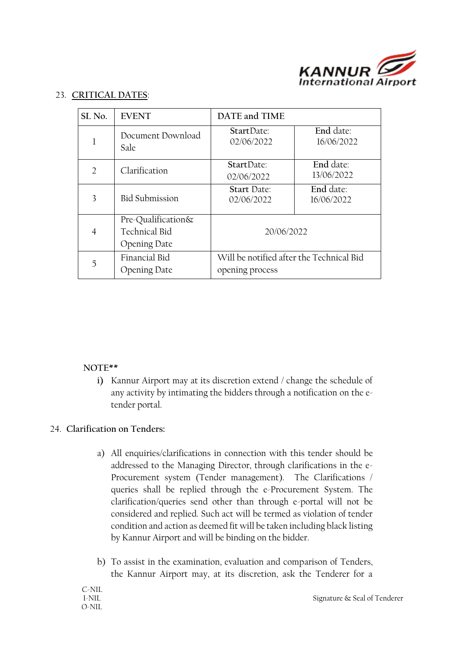

#### 23. **CRITICAL DATES**:

| SL <sub>No.</sub> | <b>EVENT</b>                                               | DATE and TIME                                               |                         |
|-------------------|------------------------------------------------------------|-------------------------------------------------------------|-------------------------|
|                   | Document Download<br>Sale                                  | StartDate:<br>02/06/2022                                    | End date:<br>16/06/2022 |
| $\mathcal{D}$     | Clarification                                              | StartDate:<br>02/06/2022                                    | End date:<br>13/06/2022 |
| 3                 | <b>Bid Submission</b>                                      | <b>Start Date:</b><br>02/06/2022                            | End date:<br>16/06/2022 |
| 4                 | Pre-Qualification&<br>Technical Bid<br><b>Opening Date</b> | 20/06/2022                                                  |                         |
| 5                 | Financial Bid<br><b>Opening Date</b>                       | Will be notified after the Technical Bid<br>opening process |                         |

#### **NOTE\*\***

**i)** Kannur Airport may at its discretion extend / change the schedule of any activity by intimating the bidders through a notification on the etender portal.

#### 24. **Clarification on Tenders:**

- a) All enquiries/clarifications in connection with this tender should be addressed to the Managing Director, through clarifications in the e-Procurement system (Tender management). The Clarifications / queries shall be replied through the e-Procurement System. The clarification/queries send other than through e-portal will not be considered and replied. Such act will be termed as violation of tender condition and action as deemed fit will be taken including black listing by Kannur Airport and will be binding on the bidder.
- b) To assist in the examination, evaluation and comparison of Tenders, the Kannur Airport may, at its discretion, ask the Tenderer for a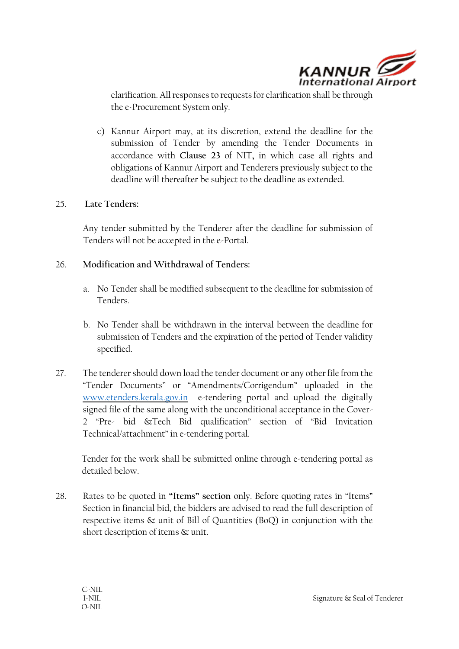

clarification. All responses to requests for clarification shall be through the e-Procurement System only.

c) Kannur Airport may, at its discretion, extend the deadline for the submission of Tender by amending the Tender Documents in accordance with **Clause 23** of NIT**,** in which case all rights and obligations of Kannur Airport and Tenderers previously subject to the deadline will thereafter be subject to the deadline as extended.

#### 25. **Late Tenders:**

Any tender submitted by the Tenderer after the deadline for submission of Tenders will not be accepted in the e-Portal.

## 26. **Modification and Withdrawal of Tenders:**

- a. No Tender shall be modified subsequent to the deadline for submission of Tenders.
- b. No Tender shall be withdrawn in the interval between the deadline for submission of Tenders and the expiration of the period of Tender validity specified.
- 27. The tenderer should down load the tender document or any other file from the "Tender Documents" or "Amendments/Corrigendum" uploaded in the [www.etenders.kerala.gov.in](http://www.etenders.kerala.gov.in/) e-tendering portal and upload the digitally signed file of the same along with the unconditional acceptance in the Cover-2 "Pre- bid &Tech Bid qualification" section of "Bid Invitation Technical/attachment" in e-tendering portal.

Tender for the work shall be submitted online through e-tendering portal as detailed below.

28. Rates to be quoted in **"Items" section** only. Before quoting rates in "Items" Section in financial bid, the bidders are advised to read the full description of respective items & unit of Bill of Quantities (BoQ) in conjunction with the short description of items & unit.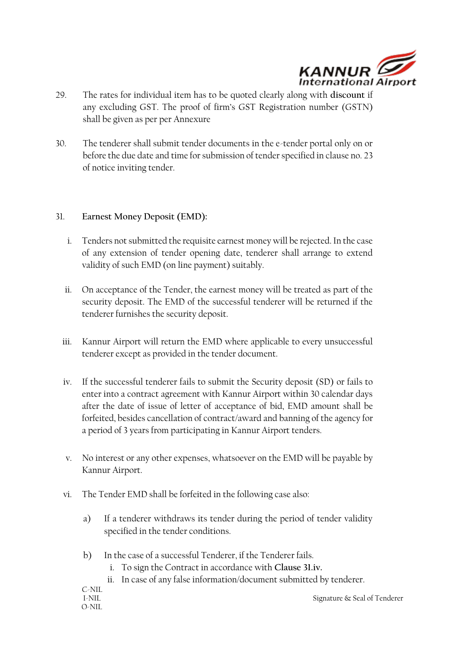

- 29. The rates for individual item has to be quoted clearly along with **discount** if any excluding GST. The proof of firm's GST Registration number (GSTN) shall be given as per per Annexure
- 30. The tenderer shall submit tender documents in the e-tender portal only on or before the due date and time for submission of tender specified in clause no. 23 of notice inviting tender.

#### 31. **Earnest Money Deposit (EMD):**

- i. Tenders not submitted the requisite earnest money will be rejected. In the case of any extension of tender opening date, tenderer shall arrange to extend validity of such EMD (on line payment) suitably.
- ii. On acceptance of the Tender, the earnest money will be treated as part of the security deposit. The EMD of the successful tenderer will be returned if the tenderer furnishes the security deposit.
- iii. Kannur Airport will return the EMD where applicable to every unsuccessful tenderer except as provided in the tender document.
- iv. If the successful tenderer fails to submit the Security deposit (SD) or fails to enter into a contract agreement with Kannur Airport within 30 calendar days after the date of issue of letter of acceptance of bid, EMD amount shall be forfeited, besides cancellation of contract/award and banning of the agency for a period of 3 years from participating in Kannur Airport tenders.
- v. No interest or any other expenses, whatsoever on the EMD will be payable by Kannur Airport.
- vi. The Tender EMD shall be forfeited in the following case also:
	- a) If a tenderer withdraws its tender during the period of tender validity specified in the tender conditions.
	- b) In the case of a successful Tenderer, if the Tenderer fails.
		- i. To sign the Contract in accordance with **Clause 31.iv.**
		- ii. In case of any false information/document submitted by tenderer.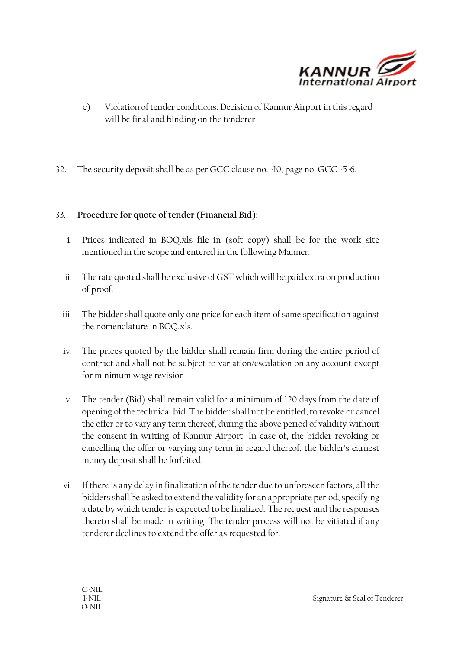

- c) Violation of tender conditions. Decision of Kannur Airport in this regard will be final and binding on the tenderer
- 32. The security deposit shall be as per GCC clause no. -10, page no. GCC -5-6.

## 33. **Procedure for quote of tender (Financial Bid):**

- i. Prices indicated in BOQ.xls file in (soft copy) shall be for the work site mentioned in the scope and entered in the following Manner:
- ii. The rate quoted shall be exclusive of GST which will be paid extra on production of proof.
- iii. The bidder shall quote only one price for each item of same specification against the nomenclature in BOQ.xls.
- iv. The prices quoted by the bidder shall remain firm during the entire period of contract and shall not be subject to variation/escalation on any account except for minimum wage revision
- v. The tender (Bid) shall remain valid for a minimum of 120 days from the date of opening of the technical bid. The bidder shall not be entitled, to revoke or cancel the offer or to vary any term thereof, during the above period of validity without the consent in writing of Kannur Airport. In case of, the bidder revoking or cancelling the offer or varying any term in regard thereof, the bidder's earnest money deposit shall be forfeited.
- vi. If there is any delay in finalization of the tender due to unforeseen factors, all the bidders shall be asked to extend the validity for an appropriate period, specifying a date by which tender is expected to be finalized. The request and the responses thereto shall be made in writing. The tender process will not be vitiated if any tenderer declines to extend the offer as requested for.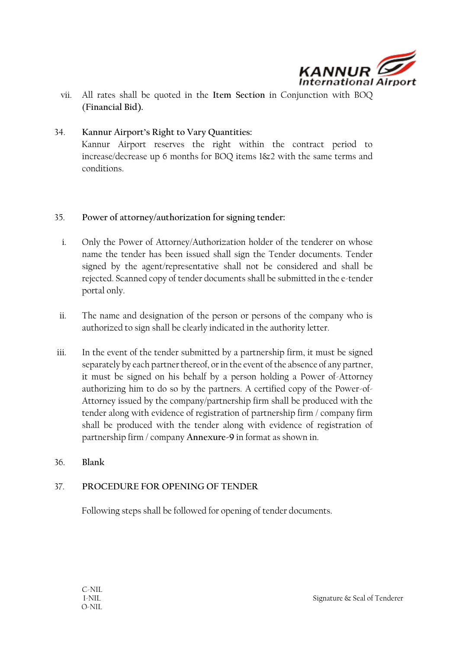

vii. All rates shall be quoted in the **Item Section** in Conjunction with BOQ (**Financial Bid).**

## 34. **Kannur Airport's Right to Vary Quantities:**  Kannur Airport reserves the right within the contract period to increase/decrease up 6 months for BOQ items 1&2 with the same terms and conditions.

#### 35. **Power of attorney/authorization for signing tender:**

- i. Only the Power of Attorney/Authorization holder of the tenderer on whose name the tender has been issued shall sign the Tender documents. Tender signed by the agent/representative shall not be considered and shall be rejected. Scanned copy of tender documents shall be submitted in the e-tender portal only.
- ii. The name and designation of the person or persons of the company who is authorized to sign shall be clearly indicated in the authority letter.
- iii. In the event of the tender submitted by a partnership firm, it must be signed separately by each partner thereof, or in the event of the absence of any partner, it must be signed on his behalf by a person holding a Power of-Attorney authorizing him to do so by the partners. A certified copy of the Power-of-Attorney issued by the company/partnership firm shall be produced with the tender along with evidence of registration of partnership firm / company firm shall be produced with the tender along with evidence of registration of partnership firm / company **Annexure-9** in format as shown in.
- 36. **Blank**

#### 37. **PROCEDURE FOR OPENING OF TENDER**

Following steps shall be followed for opening of tender documents.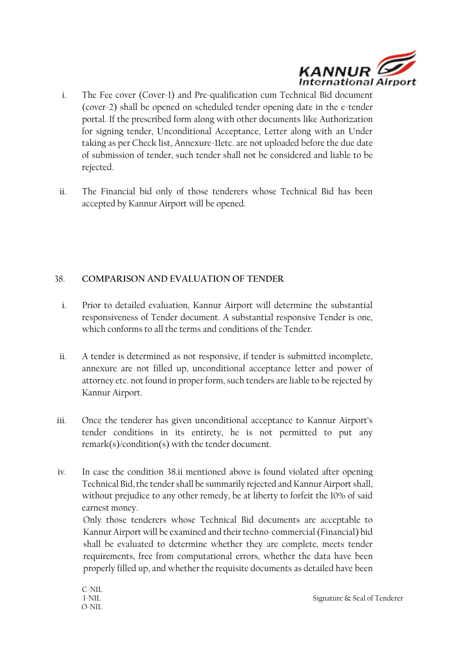

- i. The Fee cover (Cover-1) and Pre-qualification cum Technical Bid document (cover-2) shall be opened on scheduled tender opening date in the e-tender portal. If the prescribed form along with other documents like Authorization for signing tender, Unconditional Acceptance, Letter along with an Under taking as per Check list, Annexure-11etc. are not uploaded before the due date of submission of tender, such tender shall not be considered and liable to be rejected.
- ii. The Financial bid only of those tenderers whose Technical Bid has been accepted by Kannur Airport will be opened.

## 38. **COMPARISON AND EVALUATION OF TENDER**

- i. Prior to detailed evaluation, Kannur Airport will determine the substantial responsiveness of Tender document. A substantial responsive Tender is one, which conforms to all the terms and conditions of the Tender.
- ii. A tender is determined as not responsive, if tender is submitted incomplete, annexure are not filled up, unconditional acceptance letter and power of attorney etc. not found in proper form, such tenders are liable to be rejected by Kannur Airport.
- iii. Once the tenderer has given unconditional acceptance to Kannur Airport's tender conditions in its entirety, he is not permitted to put any remark(s)/condition(s) with the tender document.
- iv. In case the condition 38.ii mentioned above is found violated after opening Technical Bid, the tender shall be summarily rejected and Kannur Airport shall, without prejudice to any other remedy, be at liberty to forfeit the 10% of said earnest money.

Only those tenderers whose Technical Bid documents are acceptable to Kannur Airport will be examined and their techno-commercial (Financial) bid shall be evaluated to determine whether they are complete, meets tender requirements, free from computational errors, whether the data have been properly filled up, and whether the requisite documents as detailed have been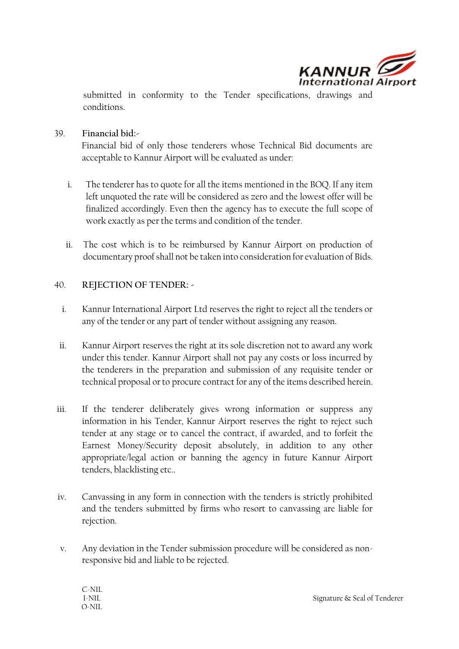

submitted in conformity to the Tender specifications, drawings and conditions.

39. **Financial bid:-**

Financial bid of only those tenderers whose Technical Bid documents are acceptable to Kannur Airport will be evaluated as under:

- i. The tenderer has to quote for all the items mentioned in the BOQ. If any item left unquoted the rate will be considered as zero and the lowest offer will be finalized accordingly. Even then the agency has to execute the full scope of work exactly as per the terms and condition of the tender.
- ii. The cost which is to be reimbursed by Kannur Airport on production of documentary proof shall not be taken into consideration for evaluation of Bids.

#### 40. **REJECTION OF TENDER: -**

- i. Kannur International Airport Ltd reserves the right to reject all the tenders or any of the tender or any part of tender without assigning any reason.
- ii. Kannur Airport reserves the right at its sole discretion not to award any work under this tender. Kannur Airport shall not pay any costs or loss incurred by the tenderers in the preparation and submission of any requisite tender or technical proposal or to procure contract for any of the items described herein.
- iii. If the tenderer deliberately gives wrong information or suppress any information in his Tender, Kannur Airport reserves the right to reject such tender at any stage or to cancel the contract, if awarded, and to forfeit the Earnest Money/Security deposit absolutely, in addition to any other appropriate/legal action or banning the agency in future Kannur Airport tenders, blacklisting etc..
- iv. Canvassing in any form in connection with the tenders is strictly prohibited and the tenders submitted by firms who resort to canvassing are liable for rejection.
- v. Any deviation in the Tender submission procedure will be considered as nonresponsive bid and liable to be rejected.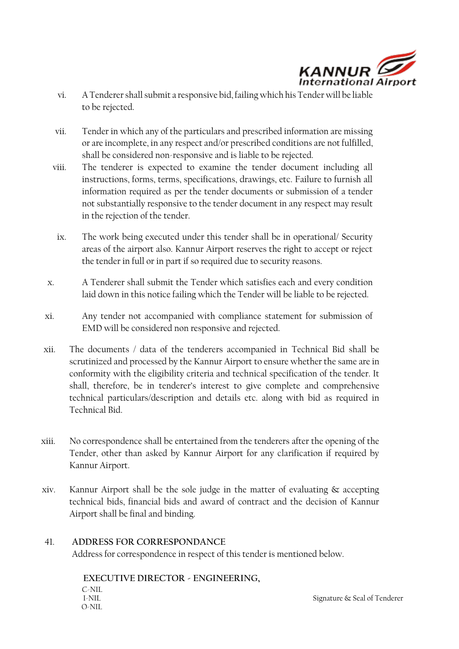

- vi. A Tenderer shall submit a responsive bid, failing which his Tender will be liable to be rejected.
- vii. Tender in which any of the particulars and prescribed information are missing or are incomplete, in any respect and/or prescribed conditions are not fulfilled, shall be considered non-responsive and is liable to be rejected.
- viii. The tenderer is expected to examine the tender document including all instructions, forms, terms, specifications, drawings, etc. Failure to furnish all information required as per the tender documents or submission of a tender not substantially responsive to the tender document in any respect may result in the rejection of the tender.
- ix. The work being executed under this tender shall be in operational/ Security areas of the airport also. Kannur Airport reserves the right to accept or reject the tender in full or in part if so required due to security reasons.
- x. A Tenderer shall submit the Tender which satisfies each and every condition laid down in this notice failing which the Tender will be liable to be rejected.
- xi. Any tender not accompanied with compliance statement for submission of EMD will be considered non responsive and rejected.
- xii. The documents / data of the tenderers accompanied in Technical Bid shall be scrutinized and processed by the Kannur Airport to ensure whether the same are in conformity with the eligibility criteria and technical specification of the tender. It shall, therefore, be in tenderer's interest to give complete and comprehensive technical particulars/description and details etc. along with bid as required in Technical Bid.
- xiii. No correspondence shall be entertained from the tenderers after the opening of the Tender, other than asked by Kannur Airport for any clarification if required by Kannur Airport.
- xiv. Kannur Airport shall be the sole judge in the matter of evaluating & accepting technical bids, financial bids and award of contract and the decision of Kannur Airport shall be final and binding.

## 41. **ADDRESS FOR CORRESPONDANCE**

Address for correspondence in respect of this tender is mentioned below.

C-NIL<br>L-NII O-NIL **EXECUTIVE DIRECTOR - ENGINEERING,** 

Signature & Seal of Tenderer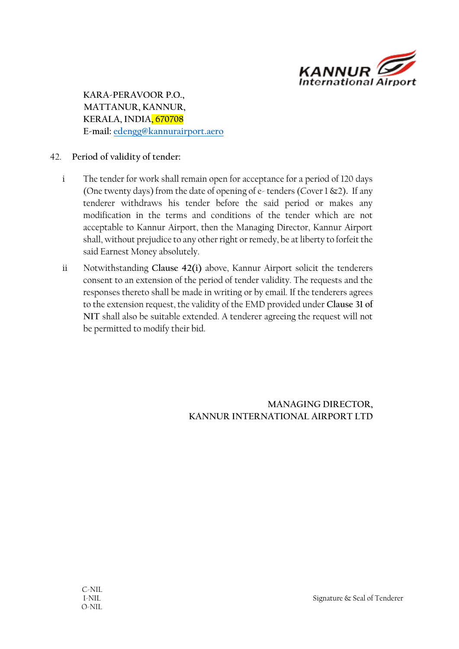

**KARA-PERAVOOR P.O., MATTANUR, KANNUR, KERALA, INDIA, 670708 E-mail: [edengg@kannurairport.aero](mailto:edengg@kannurairport.aero)**

## 42. **Period of validity of tender:**

- i The tender for work shall remain open for acceptance for a period of 120 days (One twenty days) from the date of opening of e- tenders (Cover 1 &2)**.** If any tenderer withdraws his tender before the said period or makes any modification in the terms and conditions of the tender which are not acceptable to Kannur Airport, then the Managing Director, Kannur Airport shall, without prejudice to any other right or remedy, be at liberty to forfeit the said Earnest Money absolutely.
- ii Notwithstanding **Clause 42(i)** above, Kannur Airport solicit the tenderers consent to an extension of the period of tender validity. The requests and the responses thereto shall be made in writing or by email. If the tenderers agrees to the extension request, the validity of the EMD provided under **Clause 31 of NIT** shall also be suitable extended. A tenderer agreeing the request will not be permitted to modify their bid.

**MANAGING DIRECTOR, KANNUR INTERNATIONAL AIRPORT LTD**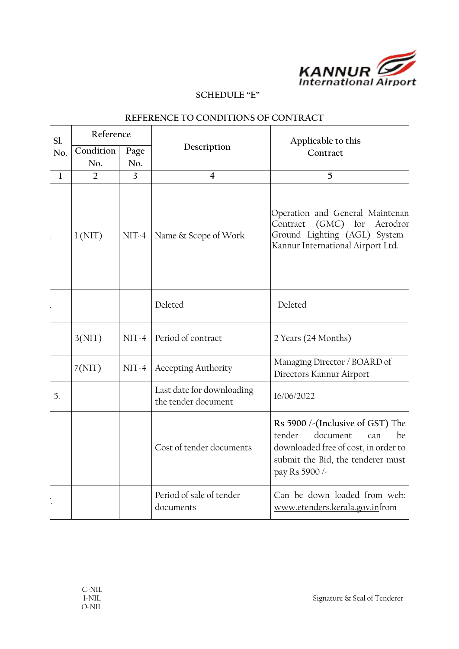

#### **SCHEDULE "E"**

| Sl.          | Reference        |                |                                                  | Applicable to this                                                                                                                                                 |  |
|--------------|------------------|----------------|--------------------------------------------------|--------------------------------------------------------------------------------------------------------------------------------------------------------------------|--|
| No.          | Condition<br>No. | Page<br>No.    | Description                                      | Contract                                                                                                                                                           |  |
| $\mathbf{1}$ | $\overline{2}$   | $\overline{3}$ | $\overline{4}$                                   | 5                                                                                                                                                                  |  |
|              | 1(NIT)           | $NIT-4$        | Name & Scope of Work                             | Operation and General Maintenan<br>$(GMC)$ for<br>Contract<br>Aerodror<br>Ground Lighting (AGL) System<br>Kannur International Airport Ltd.                        |  |
|              |                  |                | Deleted                                          | Deleted                                                                                                                                                            |  |
|              | 3(NIT)           | $NIT-4$        | Period of contract                               | 2 Years (24 Months)                                                                                                                                                |  |
|              | 7(NIT)           | $NIT-4$        | <b>Accepting Authority</b>                       | Managing Director / BOARD of<br>Directors Kannur Airport                                                                                                           |  |
| 5.           |                  |                | Last date for downloading<br>the tender document | 16/06/2022                                                                                                                                                         |  |
|              |                  |                | Cost of tender documents                         | Rs 5900 /-(Inclusive of GST) The<br>document<br>tender<br>be<br>can<br>downloaded free of cost, in order to<br>submit the Bid, the tenderer must<br>pay Rs 5900 /- |  |
|              |                  |                | Period of sale of tender<br>documents            | Can be down loaded from web:<br>www.etenders.kerala.gov.infrom                                                                                                     |  |

## **REFERENCE TO CONDITIONS OF CONTRACT**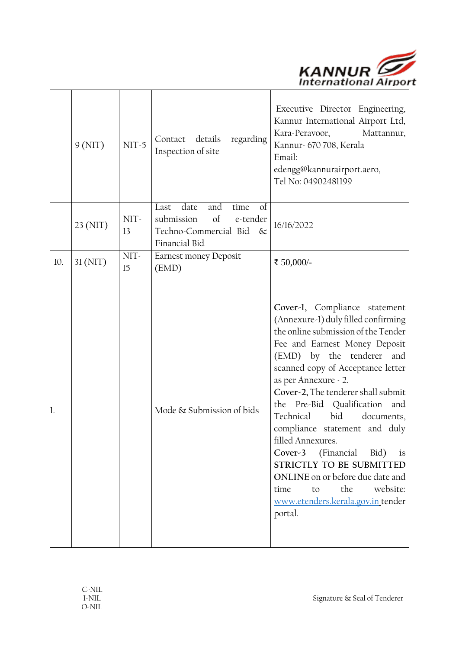

|     | 9(NIT)   | $NIT-5$    | Contact details<br>regarding<br>Inspection of site                                                                        | Executive Director Engineering,<br>Kannur International Airport Ltd,<br>Kara-Peravoor,<br>Mattannur,<br>Kannur- 670 708, Kerala<br>Email:<br>edengg@kannurairport.aero,<br>Tel No: 04902481199                                                                                                                                                                                                                                                                                                                                                                                                      |
|-----|----------|------------|---------------------------------------------------------------------------------------------------------------------------|-----------------------------------------------------------------------------------------------------------------------------------------------------------------------------------------------------------------------------------------------------------------------------------------------------------------------------------------------------------------------------------------------------------------------------------------------------------------------------------------------------------------------------------------------------------------------------------------------------|
|     | 23 (NIT) | NIT-<br>13 | date<br>and<br>Last<br>time<br>of<br>submission<br>$\sigma$<br>e-tender<br>Techno-Commercial Bid<br>$\&$<br>Financial Bid | 16/16/2022                                                                                                                                                                                                                                                                                                                                                                                                                                                                                                                                                                                          |
| 10. | 31(NIT)  | NIT-<br>15 | Earnest money Deposit<br>(EMD)                                                                                            | ₹ 50,000/-                                                                                                                                                                                                                                                                                                                                                                                                                                                                                                                                                                                          |
|     |          |            | Mode & Submission of bids                                                                                                 | Cover-1, Compliance statement<br>(Annexure-1) duly filled confirming<br>the online submission of the Tender<br>Fee and Earnest Money Deposit<br>(EMD) by the tenderer<br>and<br>scanned copy of Acceptance letter<br>as per Annexure - 2.<br>Cover-2, The tenderer shall submit<br>the Pre-Bid Qualification<br>and<br>Technical<br>bid<br>documents,<br>compliance statement and duly<br>filled Annexures.<br>Cover-3<br>(Financial<br>Bid)<br>is<br>STRICTLY TO BE SUBMITTED<br>ONLINE on or before due date and<br>the<br>website:<br>time<br>to<br>www.etenders.kerala.gov.in tender<br>portal. |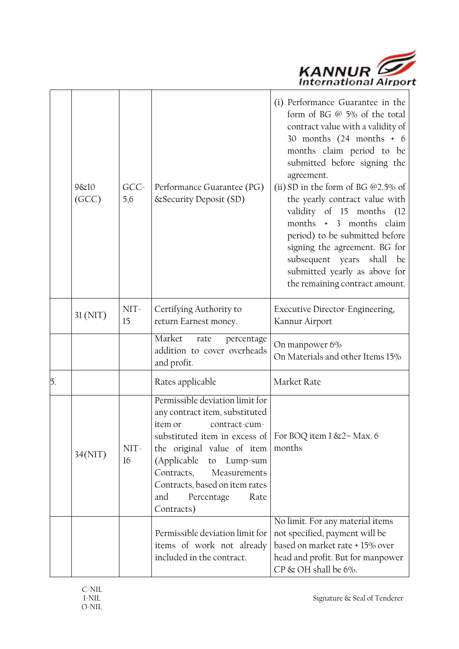

|    | 9&10<br>(GCC) | $GCC -$<br>5,6 | Performance Guarantee (PG)<br>& Security Deposit (SD)                                                                                                                                                                                                                                                                               | (i) Performance Guarantee in the<br>form of BG @ 5% of the total<br>contract value with a validity of<br>30 months (24 months + 6<br>months claim period to be<br>submitted before signing the<br>agreement.<br>(ii) SD in the form of BG $@2.5\%$ of<br>the yearly contract value with<br>validity of 15 months (12<br>months + 3 months claim<br>period) to be submitted before<br>signing the agreement. BG for<br>subsequent years shall<br>be<br>submitted yearly as above for<br>the remaining contract amount. |
|----|---------------|----------------|-------------------------------------------------------------------------------------------------------------------------------------------------------------------------------------------------------------------------------------------------------------------------------------------------------------------------------------|-----------------------------------------------------------------------------------------------------------------------------------------------------------------------------------------------------------------------------------------------------------------------------------------------------------------------------------------------------------------------------------------------------------------------------------------------------------------------------------------------------------------------|
|    | 31(NIT)       | NIT-<br>15     | Certifying Authority to<br>return Earnest money.                                                                                                                                                                                                                                                                                    | Executive Director-Engineering,<br>Kannur Airport                                                                                                                                                                                                                                                                                                                                                                                                                                                                     |
|    |               |                | Market<br>rate<br>percentage<br>addition to cover overheads<br>and profit.                                                                                                                                                                                                                                                          | On manpower 6%<br>On Materials and other Items 15%                                                                                                                                                                                                                                                                                                                                                                                                                                                                    |
| 5. |               |                | Rates applicable                                                                                                                                                                                                                                                                                                                    | Market Rate                                                                                                                                                                                                                                                                                                                                                                                                                                                                                                           |
|    | 34(NIT)       | NIT-<br>16     | Permissible deviation limit for<br>any contract item, substituted<br>item or<br>contract-cum-<br>substituted item in excess of   For BOQ item 1 & 2 - Max. 6<br>the original value of item<br>(Applicable to<br>Lump-sum<br>Contracts,<br>Measurements<br>Contracts, based on item rates<br>and<br>Percentage<br>Rate<br>Contracts) | months                                                                                                                                                                                                                                                                                                                                                                                                                                                                                                                |
|    |               |                | Permissible deviation limit for<br>items of work not already<br>included in the contract.                                                                                                                                                                                                                                           | No limit. For any material items<br>not specified, payment will be<br>based on market rate + 15% over<br>head and profit. But for manpower<br>$CP \& OH$ shall be 6%.                                                                                                                                                                                                                                                                                                                                                 |